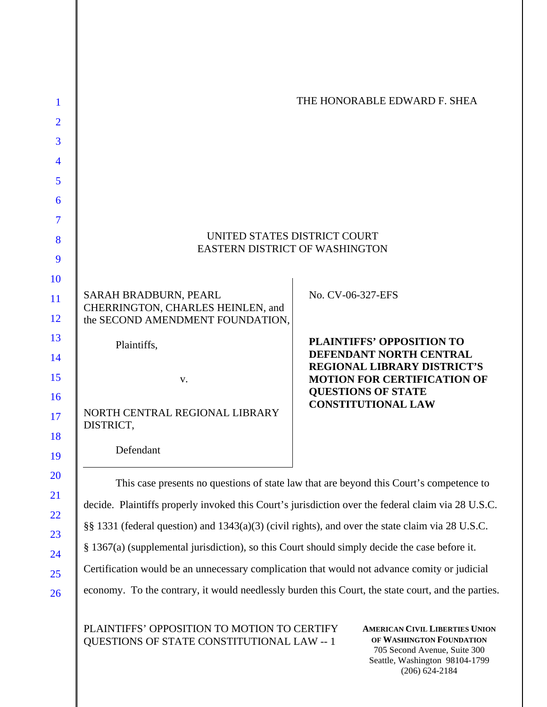| 1              |                                                                                                    | THE HONORABLE EDWARD F. SHEA                                                            |
|----------------|----------------------------------------------------------------------------------------------------|-----------------------------------------------------------------------------------------|
| $\overline{2}$ |                                                                                                    |                                                                                         |
| 3              |                                                                                                    |                                                                                         |
| 4              |                                                                                                    |                                                                                         |
| 5              |                                                                                                    |                                                                                         |
| 6              |                                                                                                    |                                                                                         |
| 7              |                                                                                                    |                                                                                         |
| 8              | UNITED STATES DISTRICT COURT<br><b>EASTERN DISTRICT OF WASHINGTON</b>                              |                                                                                         |
| 9              |                                                                                                    |                                                                                         |
| 10             |                                                                                                    |                                                                                         |
| 11             | SARAH BRADBURN, PEARL<br>CHERRINGTON, CHARLES HEINLEN, and                                         | No. CV-06-327-EFS                                                                       |
| 12             | the SECOND AMENDMENT FOUNDATION,                                                                   |                                                                                         |
| 13             | Plaintiffs,                                                                                        | <b>PLAINTIFFS' OPPOSITION TO</b><br>DEFENDANT NORTH CENTRAL                             |
| 14             |                                                                                                    | <b>REGIONAL LIBRARY DISTRICT'S</b>                                                      |
| 15             | V.                                                                                                 | <b>MOTION FOR CERTIFICATION OF</b><br><b>QUESTIONS OF STATE</b>                         |
| 16<br>17<br>18 | NORTH CENTRAL REGIONAL LIBRARY<br>DISTRICT,                                                        | <b>CONSTITUTIONAL LAW</b>                                                               |
| 19             | Defendant                                                                                          |                                                                                         |
| 20             |                                                                                                    | This case presents no questions of state law that are beyond this Court's competence to |
| 21<br>22       | decide. Plaintiffs properly invoked this Court's jurisdiction over the federal claim via 28 U.S.C. |                                                                                         |
| 23             | §§ 1331 (federal question) and 1343(a)(3) (civil rights), and over the state claim via 28 U.S.C.   |                                                                                         |
| 24             | § 1367(a) (supplemental jurisdiction), so this Court should simply decide the case before it.      |                                                                                         |
| 25             | Certification would be an unnecessary complication that would not advance comity or judicial       |                                                                                         |

economy. To the contrary, it would needlessly burden this Court, the state court, and the parties.

PLAINTIFFS' OPPOSITION TO MOTION TO CERTIFY QUESTIONS OF STATE CONSTITUTIONAL LAW -- 1

26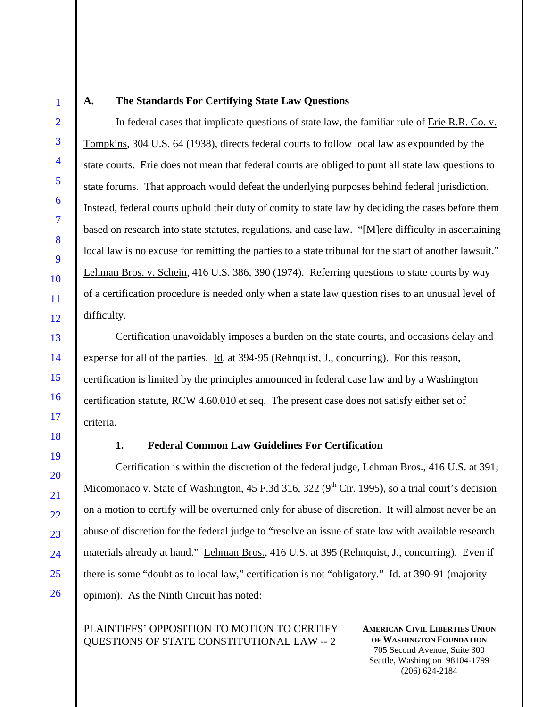1

2

3

4

5

6

7

8

9

10

11

12

13

14

15

16

17

18

19

20

21

22

23

24

25

26

#### **A. The Standards For Certifying State Law Questions**

In federal cases that implicate questions of state law, the familiar rule of Erie R.R. Co. v. Tompkins, 304 U.S. 64 (1938), directs federal courts to follow local law as expounded by the state courts. Erie does not mean that federal courts are obliged to punt all state law questions to state forums. That approach would defeat the underlying purposes behind federal jurisdiction. Instead, federal courts uphold their duty of comity to state law by deciding the cases before them based on research into state statutes, regulations, and case law. "[M]ere difficulty in ascertaining local law is no excuse for remitting the parties to a state tribunal for the start of another lawsuit." Lehman Bros. v. Schein, 416 U.S. 386, 390 (1974). Referring questions to state courts by way of a certification procedure is needed only when a state law question rises to an unusual level of difficulty.

Certification unavoidably imposes a burden on the state courts, and occasions delay and expense for all of the parties. Id. at 394-95 (Rehnquist, J., concurring). For this reason, certification is limited by the principles announced in federal case law and by a Washington certification statute, RCW 4.60.010 et seq. The present case does not satisfy either set of criteria.

## **1. Federal Common Law Guidelines For Certification**

Certification is within the discretion of the federal judge, Lehman Bros., 416 U.S. at 391; Micomonaco v. State of Washington, 45 F.3d 316, 322 ( $9<sup>th</sup>$  Cir. 1995), so a trial court's decision on a motion to certify will be overturned only for abuse of discretion. It will almost never be an abuse of discretion for the federal judge to "resolve an issue of state law with available research materials already at hand." Lehman Bros., 416 U.S. at 395 (Rehnquist, J., concurring). Even if there is some "doubt as to local law," certification is not "obligatory." Id. at 390-91 (majority opinion). As the Ninth Circuit has noted:

# PLAINTIFFS' OPPOSITION TO MOTION TO CERTIFY QUESTIONS OF STATE CONSTITUTIONAL LAW -- 2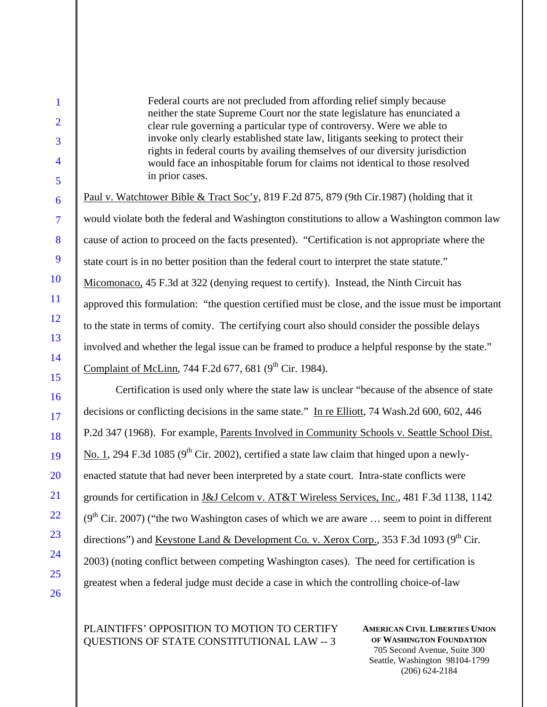Federal courts are not precluded from affording relief simply because neither the state Supreme Court nor the state legislature has enunciated a clear rule governing a particular type of controversy. Were we able to invoke only clearly established state law, litigants seeking to protect their rights in federal courts by availing themselves of our diversity jurisdiction would face an inhospitable forum for claims not identical to those resolved in prior cases.

Paul v. Watchtower Bible & Tract Soc'y, 819 F.2d 875, 879 (9th Cir.1987) (holding that it would violate both the federal and Washington constitutions to allow a Washington common law cause of action to proceed on the facts presented). "Certification is not appropriate where the state court is in no better position than the federal court to interpret the state statute." Micomonaco, 45 F.3d at 322 (denying request to certify). Instead, the Ninth Circuit has approved this formulation: "the question certified must be close, and the issue must be important to the state in terms of comity. The certifying court also should consider the possible delays involved and whether the legal issue can be framed to produce a helpful response by the state." Complaint of McLinn, 744 F.2d 677, 681 ( $9<sup>th</sup>$  Cir. 1984).

Certification is used only where the state law is unclear "because of the absence of state decisions or conflicting decisions in the same state." In re Elliott, 74 Wash.2d 600, 602, 446 P.2d 347 (1968). For example, Parents Involved in Community Schools v. Seattle School Dist. No. 1, 294 F.3d 1085 ( $9<sup>th</sup>$  Cir. 2002), certified a state law claim that hinged upon a newlyenacted statute that had never been interpreted by a state court. Intra-state conflicts were grounds for certification in J&J Celcom v. AT&T Wireless Services, Inc., 481 F.3d 1138, 1142  $(9<sup>th</sup> Cir. 2007)$  ("the two Washington cases of which we are aware ... seem to point in different directions") and <u>Keystone Land & Development Co. v. Xerox Corp.</u>, 353 F.3d 1093 (9<sup>th</sup> Cir. 2003) (noting conflict between competing Washington cases). The need for certification is greatest when a federal judge must decide a case in which the controlling choice-of-law

PLAINTIFFS' OPPOSITION TO MOTION TO CERTIFY QUESTIONS OF STATE CONSTITUTIONAL LAW -- 3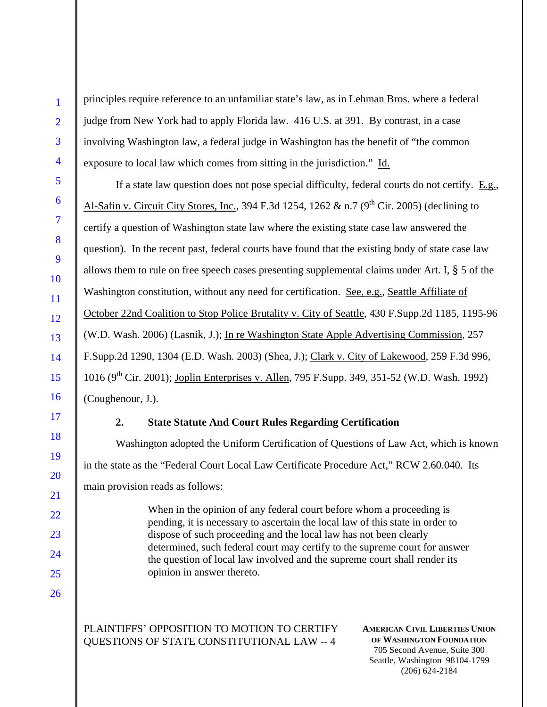principles require reference to an unfamiliar state's law, as in Lehman Bros. where a federal judge from New York had to apply Florida law. 416 U.S. at 391. By contrast, in a case involving Washington law, a federal judge in Washington has the benefit of "the common exposure to local law which comes from sitting in the jurisdiction." Id.

If a state law question does not pose special difficulty, federal courts do not certify. E.g., Al-Safin v. Circuit City Stores, Inc., 394 F.3d 1254, 1262 & n.7 ( $9<sup>th</sup>$  Cir. 2005) (declining to certify a question of Washington state law where the existing state case law answered the question). In the recent past, federal courts have found that the existing body of state case law allows them to rule on free speech cases presenting supplemental claims under Art. I, § 5 of the Washington constitution, without any need for certification. See, e.g., Seattle Affiliate of October 22nd Coalition to Stop Police Brutality v. City of Seattle, 430 F.Supp.2d 1185, 1195-96 (W.D. Wash. 2006) (Lasnik, J.); In re Washington State Apple Advertising Commission, 257 F.Supp.2d 1290, 1304 (E.D. Wash. 2003) (Shea, J.); Clark v. City of Lakewood, 259 F.3d 996, 1016 ( $9^{th}$  Cir. 2001); Joplin Enterprises v. Allen, 795 F.Supp. 349, 351-52 (W.D. Wash. 1992) (Coughenour, J.).

## **2. State Statute And Court Rules Regarding Certification**

Washington adopted the Uniform Certification of Questions of Law Act, which is known in the state as the "Federal Court Local Law Certificate Procedure Act," RCW 2.60.040. Its main provision reads as follows:

> When in the opinion of any federal court before whom a proceeding is pending, it is necessary to ascertain the local law of this state in order to dispose of such proceeding and the local law has not been clearly determined, such federal court may certify to the supreme court for answer the question of local law involved and the supreme court shall render its opinion in answer thereto.

PLAINTIFFS' OPPOSITION TO MOTION TO CERTIFY QUESTIONS OF STATE CONSTITUTIONAL LAW -- 4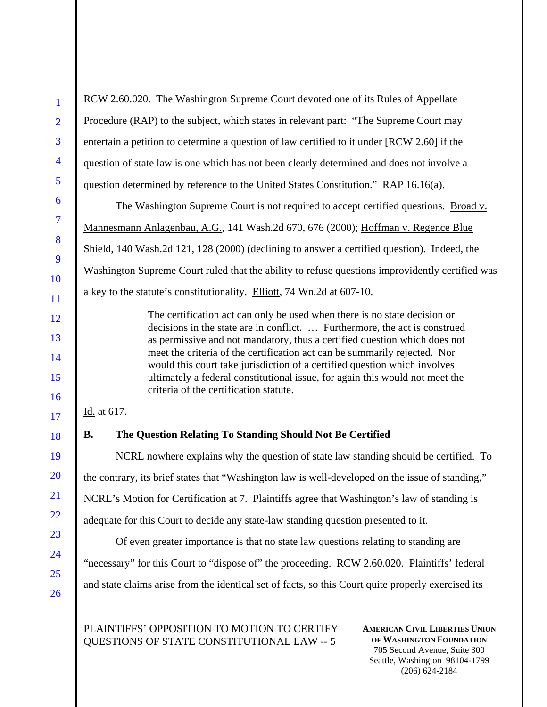1  $\overline{2}$ 3 4 5 6 7 8 9 10 11 12 13 14 15 16 17 18 19 20 21 22 23 24 25 26 **AMERICAN CIVIL LIBERTIES UNION**  RCW 2.60.020. The Washington Supreme Court devoted one of its Rules of Appellate Procedure (RAP) to the subject, which states in relevant part: "The Supreme Court may entertain a petition to determine a question of law certified to it under [RCW 2.60] if the question of state law is one which has not been clearly determined and does not involve a question determined by reference to the United States Constitution." RAP 16.16(a). The Washington Supreme Court is not required to accept certified questions. Broad v. Mannesmann Anlagenbau, A.G., 141 Wash.2d 670, 676 (2000); Hoffman v. Regence Blue Shield, 140 Wash.2d 121, 128 (2000) (declining to answer a certified question). Indeed, the Washington Supreme Court ruled that the ability to refuse questions improvidently certified was a key to the statute's constitutionality. Elliott, 74 Wn.2d at 607-10. The certification act can only be used when there is no state decision or decisions in the state are in conflict. … Furthermore, the act is construed as permissive and not mandatory, thus a certified question which does not meet the criteria of the certification act can be summarily rejected. Nor would this court take jurisdiction of a certified question which involves ultimately a federal constitutional issue, for again this would not meet the criteria of the certification statute. Id. at 617. **B. The Question Relating To Standing Should Not Be Certified**  NCRL nowhere explains why the question of state law standing should be certified. To the contrary, its brief states that "Washington law is well-developed on the issue of standing," NCRL's Motion for Certification at 7. Plaintiffs agree that Washington's law of standing is adequate for this Court to decide any state-law standing question presented to it. Of even greater importance is that no state law questions relating to standing are "necessary" for this Court to "dispose of" the proceeding. RCW 2.60.020. Plaintiffs' federal and state claims arise from the identical set of facts, so this Court quite properly exercised its PLAINTIFFS' OPPOSITION TO MOTION TO CERTIFY

QUESTIONS OF STATE CONSTITUTIONAL LAW -- 5

**OF WASHINGTON FOUNDATION** 705 Second Avenue, Suite 300 Seattle, Washington 98104-1799 (206) 624-2184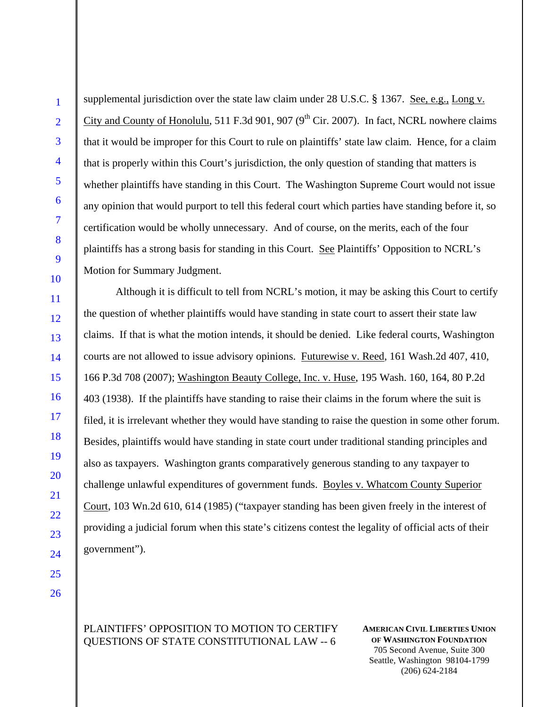1

supplemental jurisdiction over the state law claim under 28 U.S.C. § 1367. See, e.g., Long v. City and County of Honolulu, 511 F.3d 901, 907 ( $9<sup>th</sup>$  Cir. 2007). In fact, NCRL nowhere claims that it would be improper for this Court to rule on plaintiffs' state law claim. Hence, for a claim that is properly within this Court's jurisdiction, the only question of standing that matters is whether plaintiffs have standing in this Court. The Washington Supreme Court would not issue any opinion that would purport to tell this federal court which parties have standing before it, so certification would be wholly unnecessary. And of course, on the merits, each of the four plaintiffs has a strong basis for standing in this Court. See Plaintiffs' Opposition to NCRL's Motion for Summary Judgment.

Although it is difficult to tell from NCRL's motion, it may be asking this Court to certify the question of whether plaintiffs would have standing in state court to assert their state law claims. If that is what the motion intends, it should be denied. Like federal courts, Washington courts are not allowed to issue advisory opinions. Futurewise v. Reed, 161 Wash.2d 407, 410, 166 P.3d 708 (2007); Washington Beauty College, Inc. v. Huse, 195 Wash. 160, 164, 80 P.2d 403 (1938). If the plaintiffs have standing to raise their claims in the forum where the suit is filed, it is irrelevant whether they would have standing to raise the question in some other forum. Besides, plaintiffs would have standing in state court under traditional standing principles and also as taxpayers. Washington grants comparatively generous standing to any taxpayer to challenge unlawful expenditures of government funds. Boyles v. Whatcom County Superior Court, 103 Wn.2d 610, 614 (1985) ("taxpayer standing has been given freely in the interest of providing a judicial forum when this state's citizens contest the legality of official acts of their government").

# PLAINTIFFS' OPPOSITION TO MOTION TO CERTIFY QUESTIONS OF STATE CONSTITUTIONAL LAW -- 6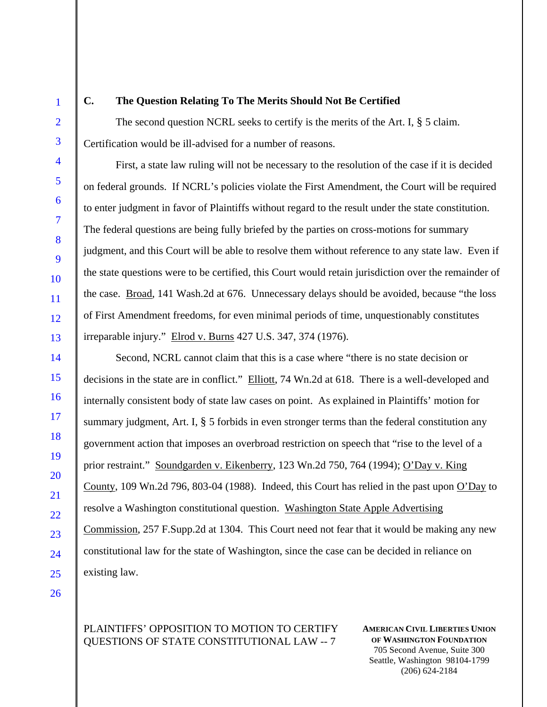1

2

3

4

5

6

7

8

9

10

11

12

13

14

15

16

17

18

19

20

21

22

23

24

25

26

## **C. The Question Relating To The Merits Should Not Be Certified**

The second question NCRL seeks to certify is the merits of the Art. I, § 5 claim. Certification would be ill-advised for a number of reasons.

First, a state law ruling will not be necessary to the resolution of the case if it is decided on federal grounds. If NCRL's policies violate the First Amendment, the Court will be required to enter judgment in favor of Plaintiffs without regard to the result under the state constitution. The federal questions are being fully briefed by the parties on cross-motions for summary judgment, and this Court will be able to resolve them without reference to any state law. Even if the state questions were to be certified, this Court would retain jurisdiction over the remainder of the case. Broad, 141 Wash.2d at 676. Unnecessary delays should be avoided, because "the loss of First Amendment freedoms, for even minimal periods of time, unquestionably constitutes irreparable injury." Elrod v. Burns 427 U.S. 347, 374 (1976).

Second, NCRL cannot claim that this is a case where "there is no state decision or decisions in the state are in conflict." Elliott, 74 Wn.2d at 618. There is a well-developed and internally consistent body of state law cases on point. As explained in Plaintiffs' motion for summary judgment, Art. I, § 5 forbids in even stronger terms than the federal constitution any government action that imposes an overbroad restriction on speech that "rise to the level of a prior restraint." Soundgarden v. Eikenberry, 123 Wn.2d 750, 764 (1994); O'Day v. King County, 109 Wn.2d 796, 803-04 (1988). Indeed, this Court has relied in the past upon O'Day to resolve a Washington constitutional question. Washington State Apple Advertising Commission, 257 F.Supp.2d at 1304. This Court need not fear that it would be making any new constitutional law for the state of Washington, since the case can be decided in reliance on existing law.

# PLAINTIFFS' OPPOSITION TO MOTION TO CERTIFY QUESTIONS OF STATE CONSTITUTIONAL LAW -- 7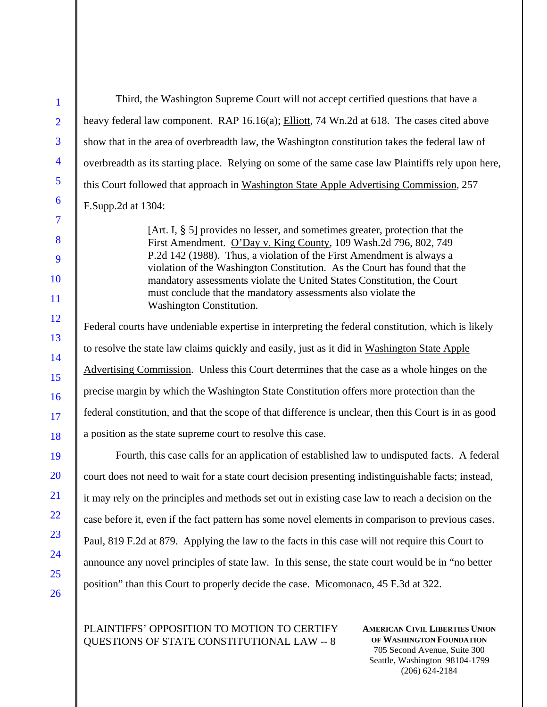Third, the Washington Supreme Court will not accept certified questions that have a heavy federal law component. RAP 16.16(a); Elliott, 74 Wn.2d at 618. The cases cited above show that in the area of overbreadth law, the Washington constitution takes the federal law of overbreadth as its starting place. Relying on some of the same case law Plaintiffs rely upon here, this Court followed that approach in Washington State Apple Advertising Commission, 257 F.Supp.2d at 1304: [Art. I, § 5] provides no lesser, and sometimes greater, protection that the First Amendment. O'Day v. King County, 109 Wash.2d 796, 802, 749 P.2d 142 (1988). Thus, a violation of the First Amendment is always a violation of the Washington Constitution. As the Court has found that the mandatory assessments violate the United States Constitution, the Court must conclude that the mandatory assessments also violate the Washington Constitution. Federal courts have undeniable expertise in interpreting the federal constitution, which is likely to resolve the state law claims quickly and easily, just as it did in Washington State Apple Advertising Commission. Unless this Court determines that the case as a whole hinges on the precise margin by which the Washington State Constitution offers more protection than the federal constitution, and that the scope of that difference is unclear, then this Court is in as good a position as the state supreme court to resolve this case. Fourth, this case calls for an application of established law to undisputed facts. A federal court does not need to wait for a state court decision presenting indistinguishable facts; instead, it may rely on the principles and methods set out in existing case law to reach a decision on the case before it, even if the fact pattern has some novel elements in comparison to previous cases. Paul, 819 F.2d at 879. Applying the law to the facts in this case will not require this Court to announce any novel principles of state law. In this sense, the state court would be in "no better position" than this Court to properly decide the case. Micomonaco, 45 F.3d at 322.

PLAINTIFFS' OPPOSITION TO MOTION TO CERTIFY QUESTIONS OF STATE CONSTITUTIONAL LAW -- 8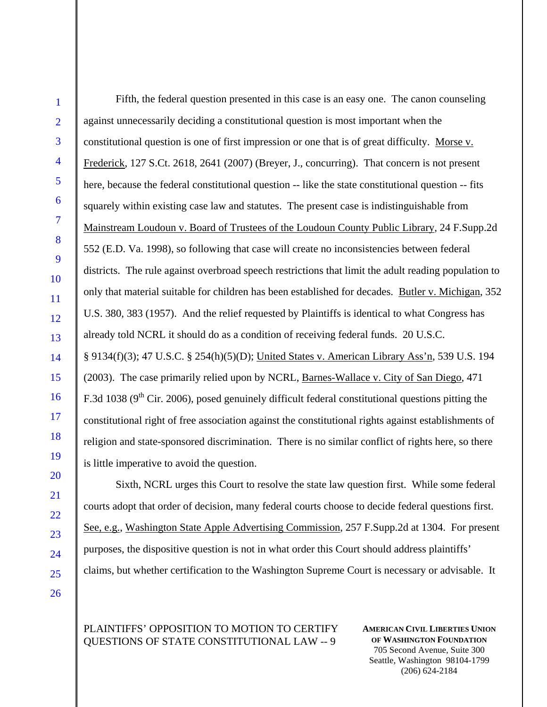Fifth, the federal question presented in this case is an easy one. The canon counseling against unnecessarily deciding a constitutional question is most important when the constitutional question is one of first impression or one that is of great difficulty. Morse v. Frederick, 127 S.Ct. 2618, 2641 (2007) (Breyer, J., concurring). That concern is not present here, because the federal constitutional question -- like the state constitutional question -- fits squarely within existing case law and statutes. The present case is indistinguishable from Mainstream Loudoun v. Board of Trustees of the Loudoun County Public Library, 24 F.Supp.2d 552 (E.D. Va. 1998), so following that case will create no inconsistencies between federal districts. The rule against overbroad speech restrictions that limit the adult reading population to only that material suitable for children has been established for decades. Butler v. Michigan, 352 U.S. 380, 383 (1957). And the relief requested by Plaintiffs is identical to what Congress has already told NCRL it should do as a condition of receiving federal funds. 20 U.S.C. § 9134(f)(3); 47 U.S.C. § 254(h)(5)(D); United States v. American Library Ass'n, 539 U.S. 194 (2003). The case primarily relied upon by NCRL, Barnes-Wallace v. City of San Diego, 471 F.3d 1038 (9<sup>th</sup> Cir. 2006), posed genuinely difficult federal constitutional questions pitting the constitutional right of free association against the constitutional rights against establishments of religion and state-sponsored discrimination. There is no similar conflict of rights here, so there is little imperative to avoid the question.

Sixth, NCRL urges this Court to resolve the state law question first. While some federal courts adopt that order of decision, many federal courts choose to decide federal questions first. See, e.g., Washington State Apple Advertising Commission, 257 F.Supp.2d at 1304. For present purposes, the dispositive question is not in what order this Court should address plaintiffs' claims, but whether certification to the Washington Supreme Court is necessary or advisable. It

PLAINTIFFS' OPPOSITION TO MOTION TO CERTIFY QUESTIONS OF STATE CONSTITUTIONAL LAW -- 9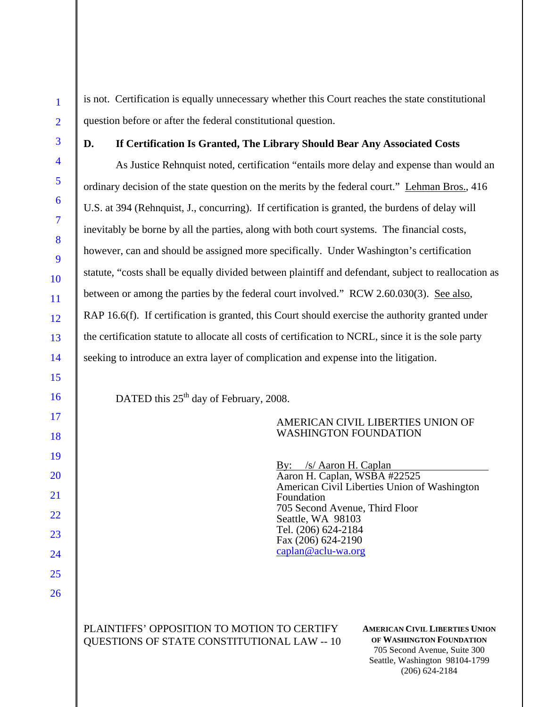is not. Certification is equally unnecessary whether this Court reaches the state constitutional question before or after the federal constitutional question.

## **D. If Certification Is Granted, The Library Should Bear Any Associated Costs**

As Justice Rehnquist noted, certification "entails more delay and expense than would an ordinary decision of the state question on the merits by the federal court." Lehman Bros., 416 U.S. at 394 (Rehnquist, J., concurring). If certification is granted, the burdens of delay will inevitably be borne by all the parties, along with both court systems. The financial costs, however, can and should be assigned more specifically. Under Washington's certification statute, "costs shall be equally divided between plaintiff and defendant, subject to reallocation as between or among the parties by the federal court involved." RCW 2.60.030(3). See also, RAP 16.6(f). If certification is granted, this Court should exercise the authority granted under the certification statute to allocate all costs of certification to NCRL, since it is the sole party seeking to introduce an extra layer of complication and expense into the litigation.

DATED this  $25<sup>th</sup>$  day of February, 2008.

## AMERICAN CIVIL LIBERTIES UNION OF WASHINGTON FOUNDATION

By: /s/ Aaron H. Caplan Aaron H. Caplan, WSBA #22525 American Civil Liberties Union of Washington Foundation 705 Second Avenue, Third Floor Seattle, WA 98103 Tel. (206) 624-2184 Fax (206) 624-2190 caplan@aclu-wa.org

PLAINTIFFS' OPPOSITION TO MOTION TO CERTIFY QUESTIONS OF STATE CONSTITUTIONAL LAW -- 10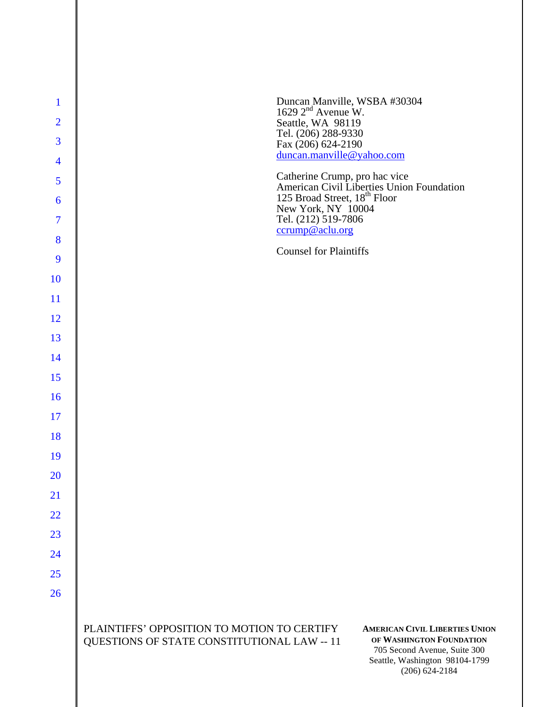| $\mathbf{1}$   | Duncan Manville, WSBA #30304<br>1629 2 <sup>nd</sup> Avenue W.                                                                                                                                                                                          |
|----------------|---------------------------------------------------------------------------------------------------------------------------------------------------------------------------------------------------------------------------------------------------------|
| $\overline{2}$ | Seattle, WA 98119                                                                                                                                                                                                                                       |
| 3              | Tel. (206) 288-9330<br>Fax (206) 624-2190                                                                                                                                                                                                               |
| $\overline{4}$ | duncan.manville@yahoo.com                                                                                                                                                                                                                               |
| 5              | Catherine Crump, pro hac vice<br>American Civil Liberties Union Foundation<br>125 Broad Street, 18 <sup>th</sup> Floor                                                                                                                                  |
| 6              | New York, NY 10004                                                                                                                                                                                                                                      |
| 7              | Tel. (212) 519-7806<br>ccrump@aclu.org                                                                                                                                                                                                                  |
| 8              | <b>Counsel for Plaintiffs</b>                                                                                                                                                                                                                           |
| 9              |                                                                                                                                                                                                                                                         |
| 10             |                                                                                                                                                                                                                                                         |
| 11             |                                                                                                                                                                                                                                                         |
| 12             |                                                                                                                                                                                                                                                         |
| 13<br>14       |                                                                                                                                                                                                                                                         |
| 15             |                                                                                                                                                                                                                                                         |
| 16             |                                                                                                                                                                                                                                                         |
| 17             |                                                                                                                                                                                                                                                         |
| 18             |                                                                                                                                                                                                                                                         |
| 19             |                                                                                                                                                                                                                                                         |
| 20             |                                                                                                                                                                                                                                                         |
| 21             |                                                                                                                                                                                                                                                         |
| 22             |                                                                                                                                                                                                                                                         |
| 23             |                                                                                                                                                                                                                                                         |
| 24             |                                                                                                                                                                                                                                                         |
| 25             |                                                                                                                                                                                                                                                         |
| 26             |                                                                                                                                                                                                                                                         |
|                | PLAINTIFFS' OPPOSITION TO MOTION TO CERTIFY<br><b>AMERICAN CIVIL LIBERTIES UNION</b><br>OF WASHINGTON FOUNDATION<br>QUESTIONS OF STATE CONSTITUTIONAL LAW -- 11<br>705 Second Avenue, Suite 300<br>Seattle, Washington 98104-1799<br>$(206) 624 - 2184$ |